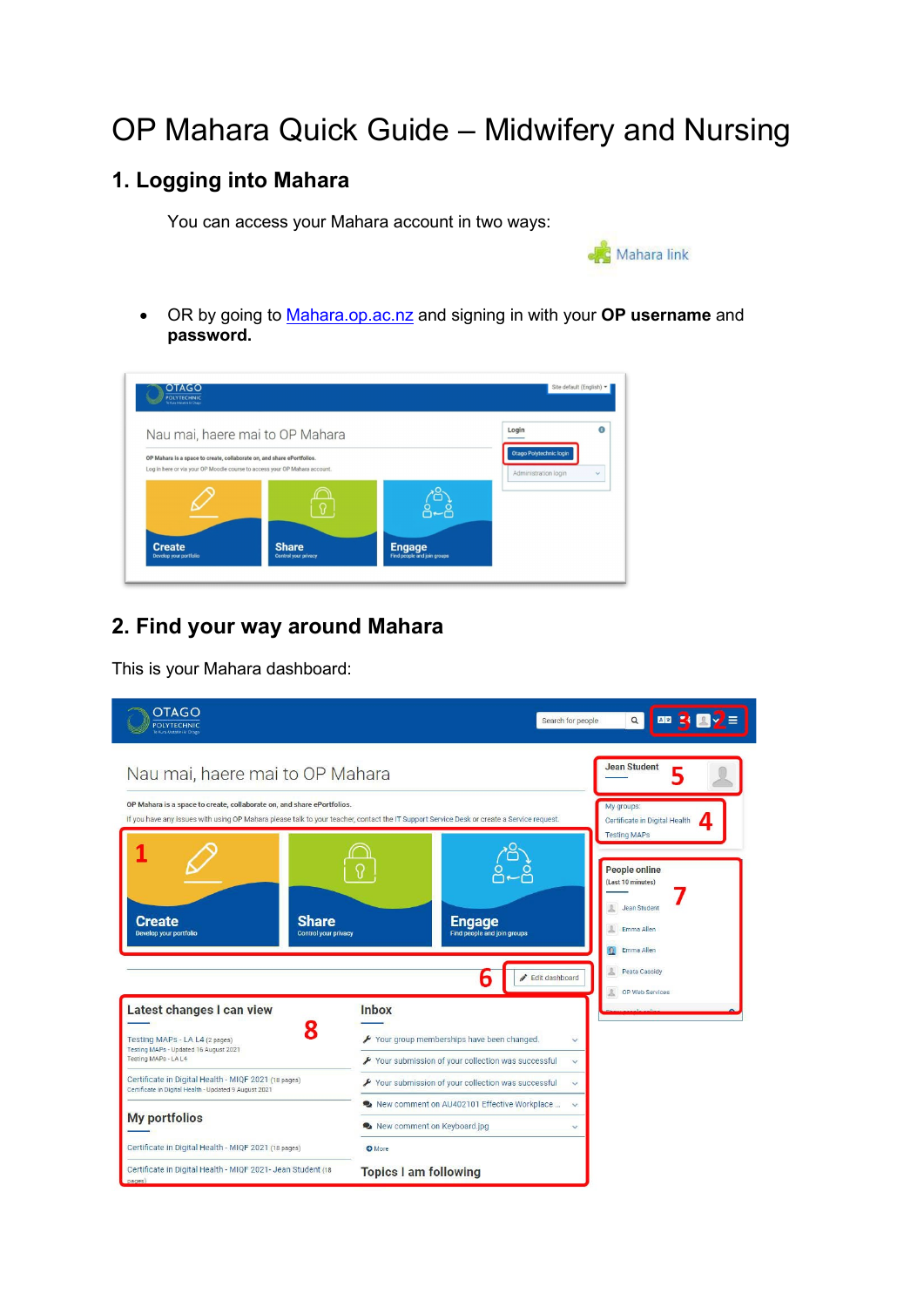# OP Mahara Quick Guide – Midwifery and Nursing

# **1. Logging into Mahara**

You can access your Mahara account in two ways:



• OR by going to [Mahara.op.ac.nz](https://mahara.op.ac.nz/) and signing in with your **OP username** and **password.**



### **2. Find your way around Mahara**

This is your Mahara dashboard:

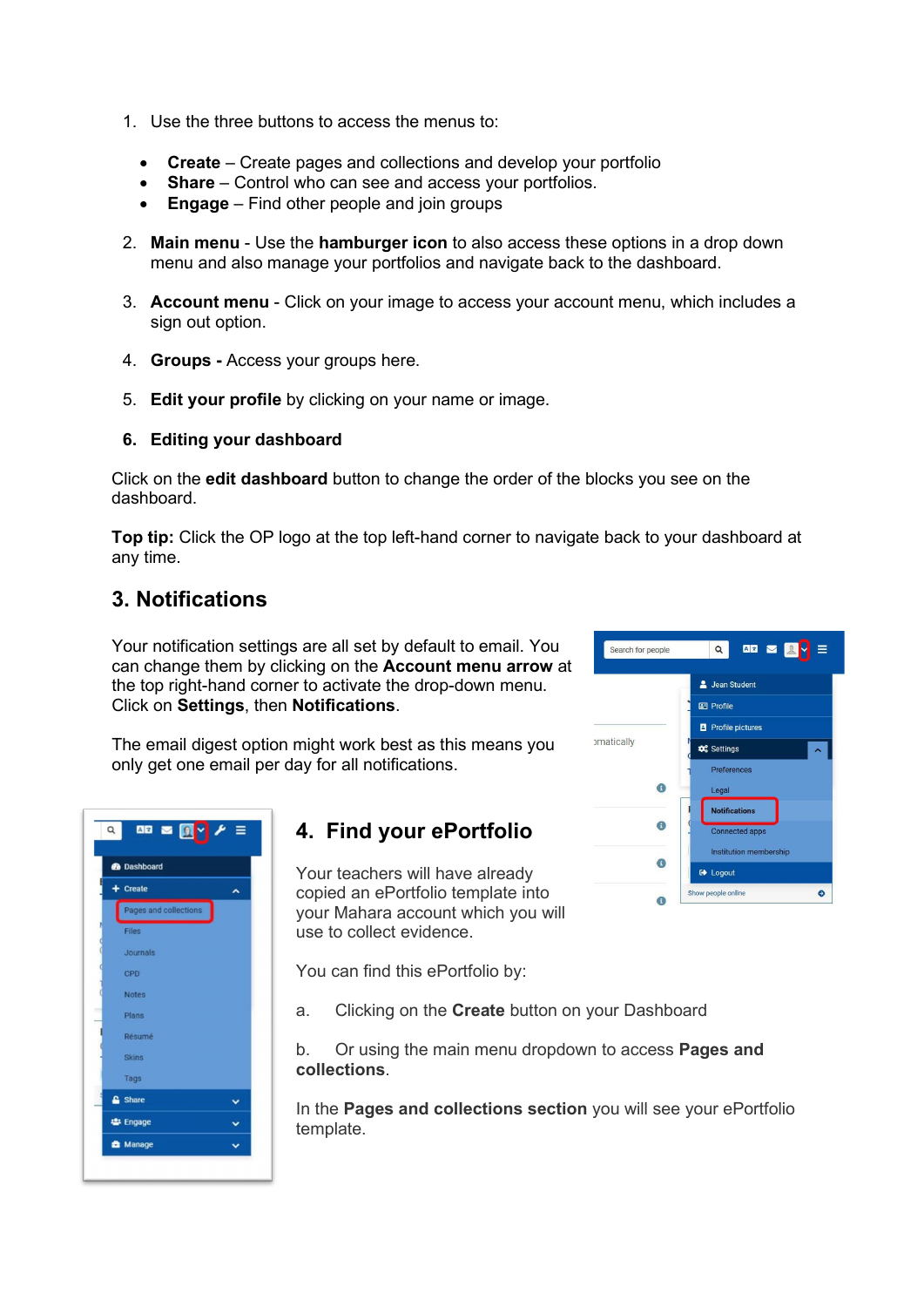- 1. Use the three buttons to access the menus to:
	- **Create** Create pages and collections and develop your portfolio
	- **Share** Control who can see and access your portfolios.
	- **Engage**  Find other people and join groups
- 2. **Main menu** Use the **hamburger icon** to also access these options in a drop down menu and also manage your portfolios and navigate back to the dashboard.
- 3. **Account menu** Click on your image to access your account menu, which includes a sign out option.
- 4. **Groups -** Access your groups here.
- 5. **Edit your profile** by clicking on your name or image.

#### **6. Editing your dashboard**

Click on the **edit dashboard** button to change the order of the blocks you see on the dashboard.

**Top tip:** Click the OP logo at the top left-hand corner to navigate back to your dashboard at any time.

#### **3. Notifications**

Your notification settings are all set by default to email. You can change them by clicking on the **Account menu arrow** at the top right-hand corner to activate the drop-down menu. Click on **Settings**, then **Notifications**.

The email digest option might work best as this means you only get one email per day for all notifications.



### **4. Find your ePortfolio**

Your teachers will have already copied an ePortfolio template into your Mahara account which you will use to collect evidence.

You can find this ePortfolio by:

a. Clicking on the **Create** button on your Dashboard

b. Or using the main menu dropdown to access **Pages and collections**.

In the **Pages and collections section** you will see your ePortfolio template.

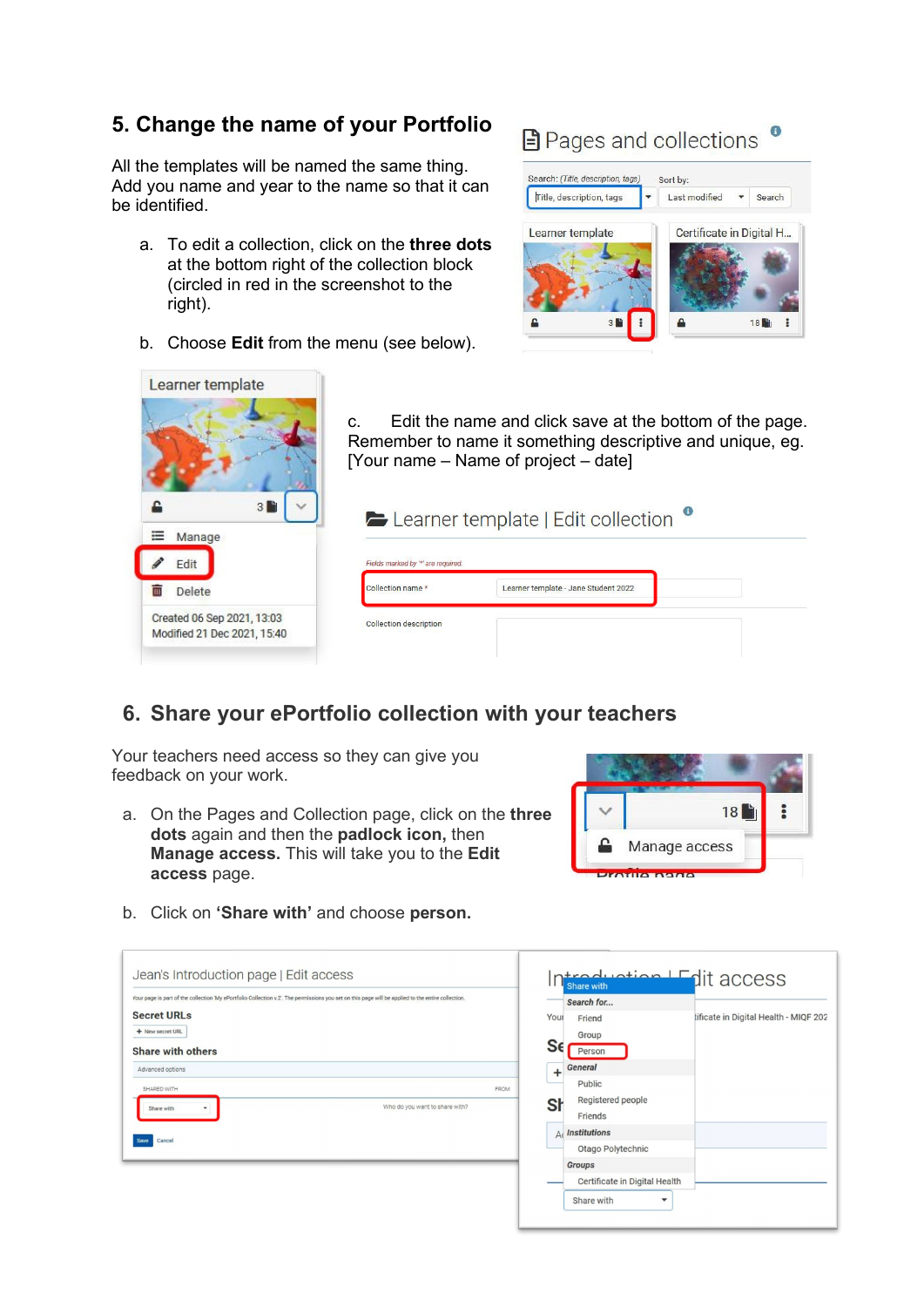#### **5. Change the name of your Portfolio**

All the templates will be named the same thing. Add you name and year to the name so that it can be identified.

- a. To edit a collection, click on the **three dots** at the bottom right of the collection block (circled in red in the screenshot to the right).
- b. Choose **Edit** from the menu (see below).

## **■** Pages and collections ●





#### **6. Share your ePortfolio collection with your teachers**

Your teachers need access so they can give you feedback on your work.

a. On the Pages and Collection page, click on the **three dots** again and then the **padlock icon,** then **Manage access.** This will take you to the **Edit access** page.



b. Click on **'Share with'** and choose **person.**

| Jean's Introduction page   Edit access                                                                                                             | ntreduction I Edit access<br>''<br>Share with           |
|----------------------------------------------------------------------------------------------------------------------------------------------------|---------------------------------------------------------|
| Your page is part of the collection 'My ePortfolio Collection v.2'. The permissions you set on this page will be applied to the entire collection. | Search for                                              |
| <b>Secret URLs</b>                                                                                                                                 | tificate in Digital Health - MIQF 202<br>Your<br>Friend |
| + New secret URL                                                                                                                                   | Group                                                   |
| <b>Share with others</b>                                                                                                                           | Sε<br>Person                                            |
| Advanced options                                                                                                                                   | <b>General</b><br>÷                                     |
| SHARED WITH<br><b>FROM</b>                                                                                                                         | Public                                                  |
| Who do you want to share with?<br>Share with<br>٠                                                                                                  | Registered people<br>Sł                                 |
|                                                                                                                                                    | Friends                                                 |
| Cancel                                                                                                                                             | $A($ Institutions                                       |
|                                                                                                                                                    | Otago Polytechnic                                       |
|                                                                                                                                                    | <b>Groups</b>                                           |
|                                                                                                                                                    | Certificate in Digital Health                           |
|                                                                                                                                                    | Share with<br>$\blacktriangledown$                      |
|                                                                                                                                                    |                                                         |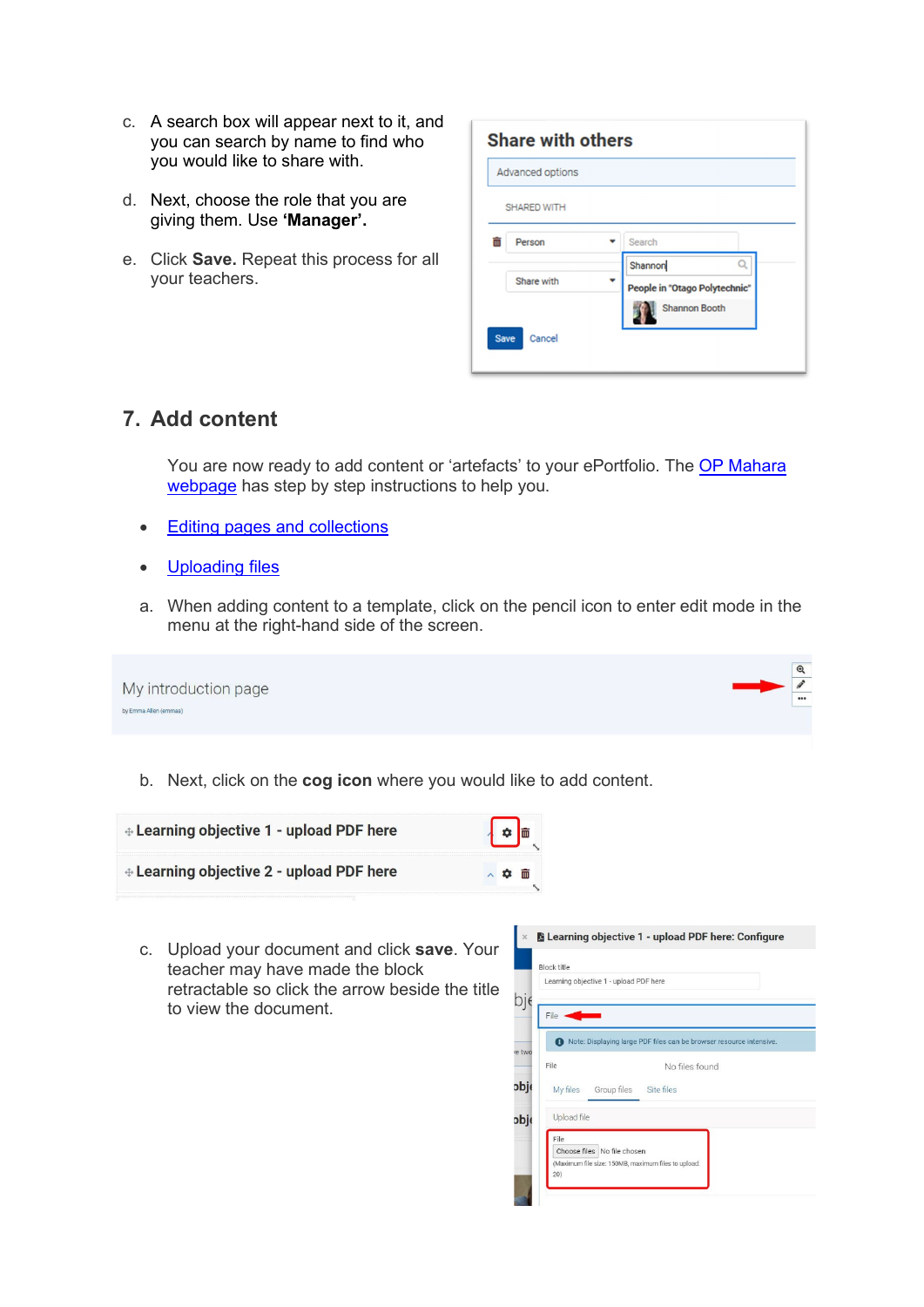- c. A search box will appear next to it, and you can search by name to find who you would like to share with.
- d. Next, choose the role that you are giving them. Use **'Manager'.**
- e. Click **Save.** Repeat this process for all your teachers.

| Advanced options   |                               |                      |   |
|--------------------|-------------------------------|----------------------|---|
| <b>SHARED WITH</b> |                               |                      |   |
| Person             |                               | Search               |   |
|                    |                               | Shannon              | Q |
| Share with         | People in "Otago Polytechnic" |                      |   |
|                    |                               | <b>Shannon Booth</b> |   |

#### **7. Add content**

You are now ready to add content or 'artefacts' to your ePortfolio. The OP Mahara [webpage](https://studentservices.op.ac.nz/it-support/op-mahara/) has step by step instructions to help you.

- [Editing pages and collections](https://studentservices.op.ac.nz/it-support/op-mahara/#a4575)
- [Uploading files](https://studentservices.op.ac.nz/it-support/op-mahara/#a4573)
- a. When adding content to a template, click on the pencil icon to enter edit mode in the menu at the right-hand side of the screen.

| My introduction page  | $\odot$<br> |  |
|-----------------------|-------------|--|
| by Emma Allen (emmaa) |             |  |

b. Next, click on the **cog icon** where you would like to add content.



c. Upload your document and click **save**. Your teacher may have made the block retractable so click the arrow beside the title to view the document.